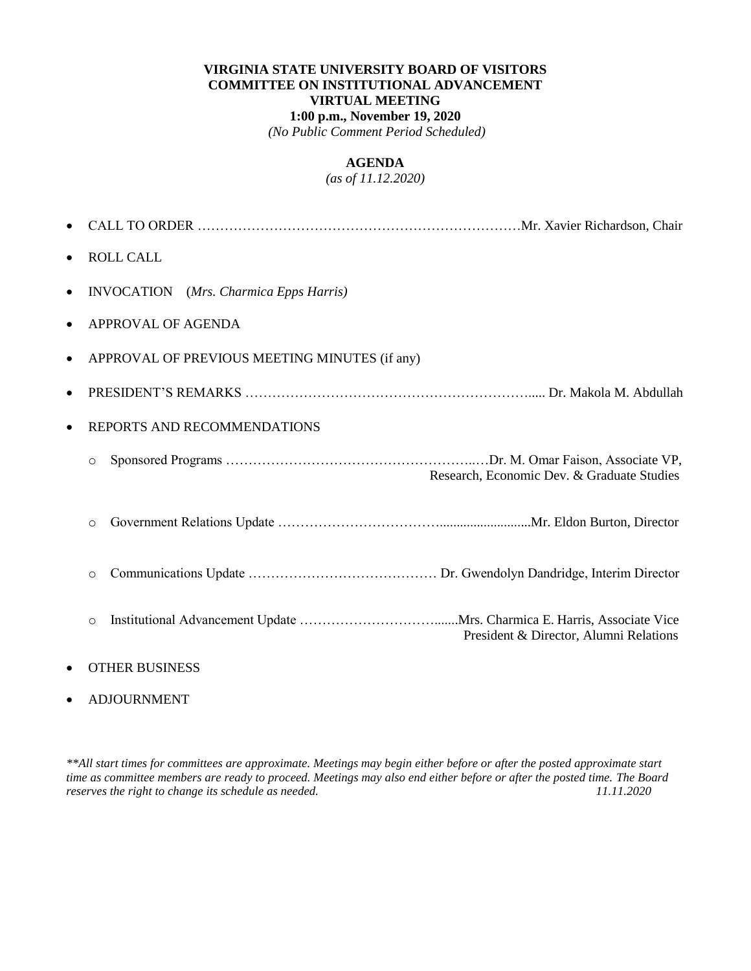## **VIRGINIA STATE UNIVERSITY BOARD OF VISITORS COMMITTEE ON INSTITUTIONAL ADVANCEMENT VIRTUAL MEETING 1:00 p.m., November 19, 2020** *(No Public Comment Period Scheduled)*

#### **AGENDA**

## *(as of 11.12.2020)*

| $\bullet$ | <b>ROLL CALL</b>                                      |  |
|-----------|-------------------------------------------------------|--|
| $\bullet$ | <b>INVOCATION</b> (Mrs. Charmica Epps Harris)         |  |
| $\bullet$ | APPROVAL OF AGENDA                                    |  |
| $\bullet$ | APPROVAL OF PREVIOUS MEETING MINUTES (if any)         |  |
| $\bullet$ |                                                       |  |
| $\bullet$ | REPORTS AND RECOMMENDATIONS                           |  |
|           | $\circ$<br>Research, Economic Dev. & Graduate Studies |  |
|           | $\circ$                                               |  |
|           | $\circ$                                               |  |
|           | $\circ$<br>President & Director, Alumni Relations     |  |
|           | <b>OTHER BUSINESS</b>                                 |  |

#### ADJOURNMENT

*\*\*All start times for committees are approximate. Meetings may begin either before or after the posted approximate start time as committee members are ready to proceed. Meetings may also end either before or after the posted time. The Board reserves the right to change its schedule as needed.*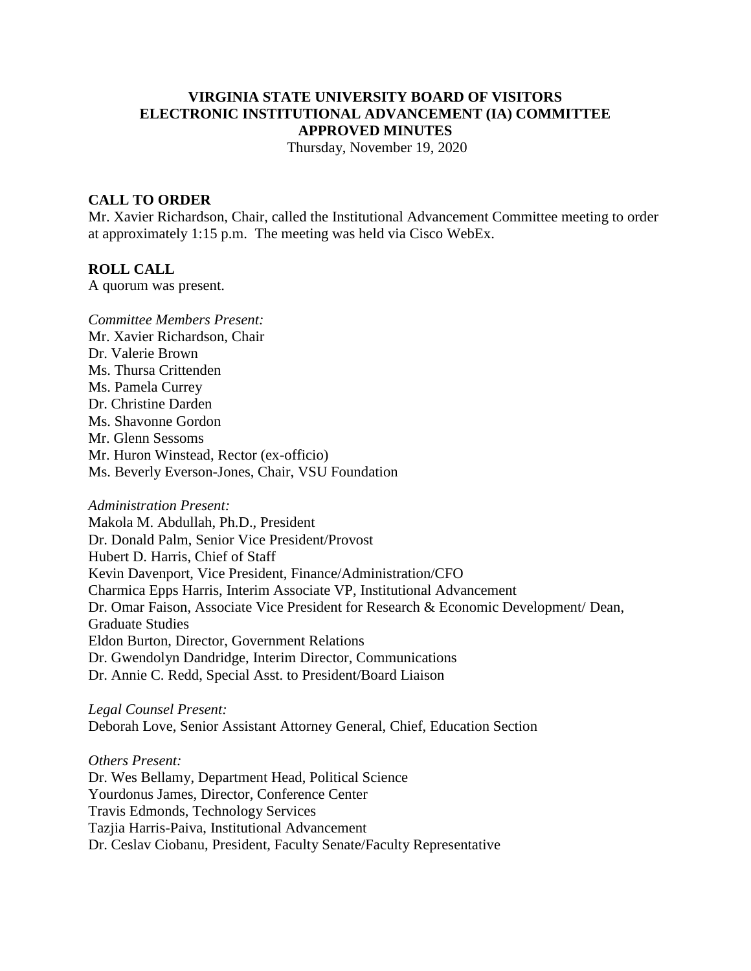# **VIRGINIA STATE UNIVERSITY BOARD OF VISITORS ELECTRONIC INSTITUTIONAL ADVANCEMENT (IA) COMMITTEE APPROVED MINUTES**

Thursday, November 19, 2020

## **CALL TO ORDER**

Mr. Xavier Richardson, Chair, called the Institutional Advancement Committee meeting to order at approximately 1:15 p.m. The meeting was held via Cisco WebEx.

#### **ROLL CALL**

A quorum was present.

*Committee Members Present:* Mr. Xavier Richardson, Chair Dr. Valerie Brown Ms. Thursa Crittenden Ms. Pamela Currey Dr. Christine Darden Ms. Shavonne Gordon Mr. Glenn Sessoms Mr. Huron Winstead, Rector (ex-officio) Ms. Beverly Everson-Jones, Chair, VSU Foundation

*Administration Present:*

Makola M. Abdullah, Ph.D., President Dr. Donald Palm, Senior Vice President/Provost Hubert D. Harris, Chief of Staff Kevin Davenport, Vice President, Finance/Administration/CFO Charmica Epps Harris, Interim Associate VP, Institutional Advancement Dr. Omar Faison, Associate Vice President for Research & Economic Development/ Dean, Graduate Studies Eldon Burton, Director, Government Relations Dr. Gwendolyn Dandridge, Interim Director, Communications Dr. Annie C. Redd, Special Asst. to President/Board Liaison

*Legal Counsel Present:*

Deborah Love, Senior Assistant Attorney General, Chief, Education Section

*Others Present:*

Dr. Wes Bellamy, Department Head, Political Science Yourdonus James, Director, Conference Center Travis Edmonds, Technology Services Tazjia Harris-Paiva, Institutional Advancement Dr. Ceslav Ciobanu, President, Faculty Senate/Faculty Representative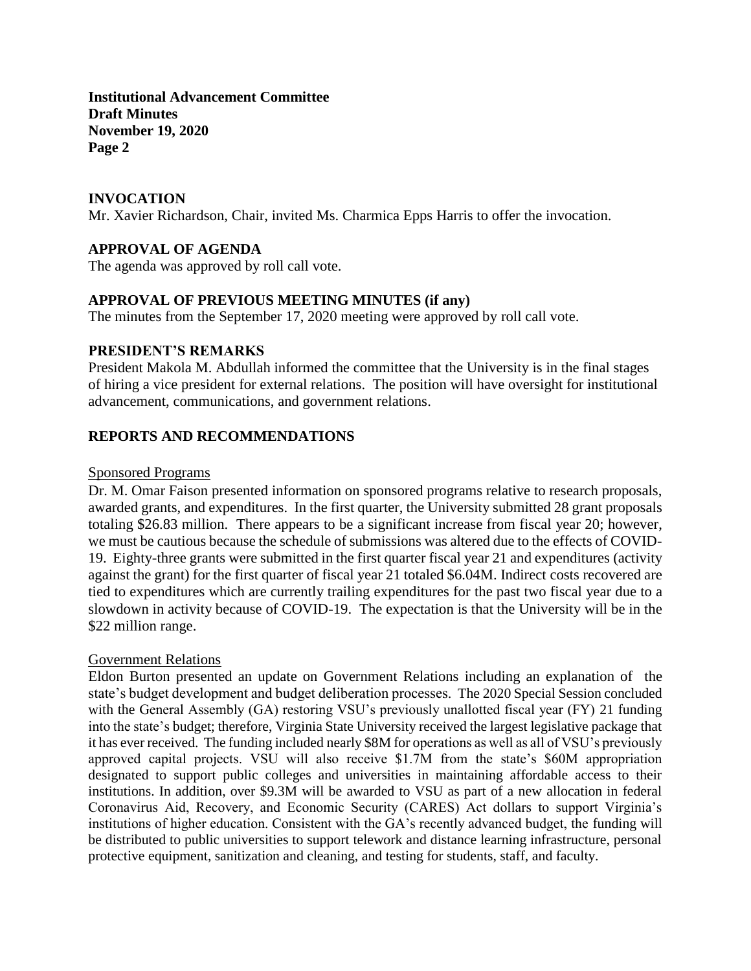**Institutional Advancement Committee Draft Minutes November 19, 2020 Page 2**

## **INVOCATION**

Mr. Xavier Richardson, Chair, invited Ms. Charmica Epps Harris to offer the invocation.

# **APPROVAL OF AGENDA**

The agenda was approved by roll call vote.

### **APPROVAL OF PREVIOUS MEETING MINUTES (if any)**

The minutes from the September 17, 2020 meeting were approved by roll call vote.

## **PRESIDENT'S REMARKS**

President Makola M. Abdullah informed the committee that the University is in the final stages of hiring a vice president for external relations. The position will have oversight for institutional advancement, communications, and government relations.

### **REPORTS AND RECOMMENDATIONS**

#### Sponsored Programs

Dr. M. Omar Faison presented information on sponsored programs relative to research proposals, awarded grants, and expenditures. In the first quarter, the University submitted 28 grant proposals totaling \$26.83 million. There appears to be a significant increase from fiscal year 20; however, we must be cautious because the schedule of submissions was altered due to the effects of COVID-19. Eighty-three grants were submitted in the first quarter fiscal year 21 and expenditures (activity against the grant) for the first quarter of fiscal year 21 totaled \$6.04M. Indirect costs recovered are tied to expenditures which are currently trailing expenditures for the past two fiscal year due to a slowdown in activity because of COVID-19. The expectation is that the University will be in the \$22 million range.

### Government Relations

Eldon Burton presented an update on Government Relations including an explanation of the state's budget development and budget deliberation processes. The 2020 Special Session concluded with the General Assembly (GA) restoring VSU's previously unallotted fiscal year (FY) 21 funding into the state's budget; therefore, Virginia State University received the largest legislative package that it has ever received. The funding included nearly \$8M for operations as well as all of VSU's previously approved capital projects. VSU will also receive \$1.7M from the state's \$60M appropriation designated to support public colleges and universities in maintaining affordable access to their institutions. In addition, over \$9.3M will be awarded to VSU as part of a new allocation in federal Coronavirus Aid, Recovery, and Economic Security (CARES) Act dollars to support Virginia's institutions of higher education. Consistent with the GA's recently advanced budget, the funding will be distributed to public universities to support telework and distance learning infrastructure, personal protective equipment, sanitization and cleaning, and testing for students, staff, and faculty.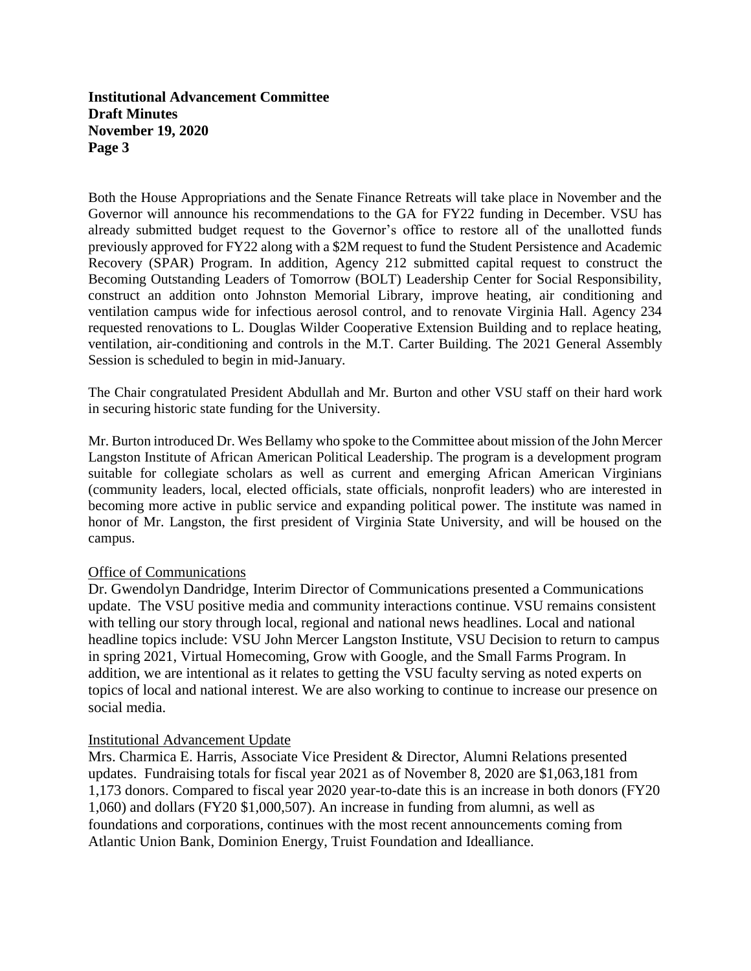**Institutional Advancement Committee Draft Minutes November 19, 2020 Page 3**

Both the House Appropriations and the Senate Finance Retreats will take place in November and the Governor will announce his recommendations to the GA for FY22 funding in December. VSU has already submitted budget request to the Governor's office to restore all of the unallotted funds previously approved for FY22 along with a \$2M request to fund the Student Persistence and Academic Recovery (SPAR) Program. In addition, Agency 212 submitted capital request to construct the Becoming Outstanding Leaders of Tomorrow (BOLT) Leadership Center for Social Responsibility, construct an addition onto Johnston Memorial Library, improve heating, air conditioning and ventilation campus wide for infectious aerosol control, and to renovate Virginia Hall. Agency 234 requested renovations to L. Douglas Wilder Cooperative Extension Building and to replace heating, ventilation, air-conditioning and controls in the M.T. Carter Building. The 2021 General Assembly Session is scheduled to begin in mid-January.

The Chair congratulated President Abdullah and Mr. Burton and other VSU staff on their hard work in securing historic state funding for the University.

Mr. Burton introduced Dr. Wes Bellamy who spoke to the Committee about mission of the John Mercer Langston Institute of African American Political Leadership. The program is a development program suitable for collegiate scholars as well as current and emerging African American Virginians (community leaders, local, elected officials, state officials, nonprofit leaders) who are interested in becoming more active in public service and expanding political power. The institute was named in honor of Mr. Langston, the first president of Virginia State University, and will be housed on the campus.

### Office of Communications

Dr. Gwendolyn Dandridge, Interim Director of Communications presented a Communications update. The VSU positive media and community interactions continue. VSU remains consistent with telling our story through local, regional and national news headlines. Local and national headline topics include: VSU John Mercer Langston Institute, VSU Decision to return to campus in spring 2021, Virtual Homecoming, Grow with Google, and the Small Farms Program. In addition, we are intentional as it relates to getting the VSU faculty serving as noted experts on topics of local and national interest. We are also working to continue to increase our presence on social media.

### Institutional Advancement Update

Mrs. Charmica E. Harris, Associate Vice President & Director, Alumni Relations presented updates. Fundraising totals for fiscal year 2021 as of November 8, 2020 are \$1,063,181 from 1,173 donors. Compared to fiscal year 2020 year-to-date this is an increase in both donors (FY20 1,060) and dollars (FY20 \$1,000,507). An increase in funding from alumni, as well as foundations and corporations, continues with the most recent announcements coming from Atlantic Union Bank, Dominion Energy, Truist Foundation and Idealliance.